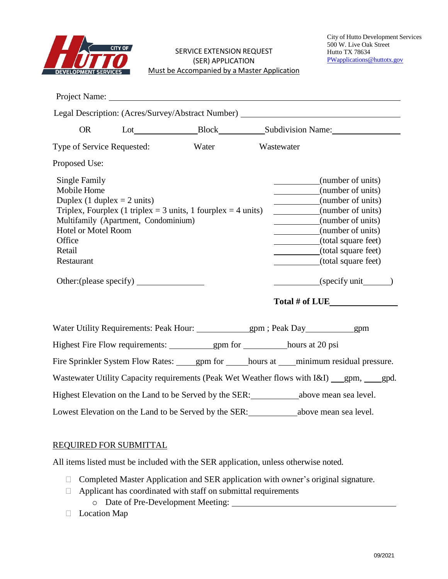

|                                                                                                                                                                                                                                        |  | Project Name: |  |                                                                                                                                                                                                                  |  |  |  |
|----------------------------------------------------------------------------------------------------------------------------------------------------------------------------------------------------------------------------------------|--|---------------|--|------------------------------------------------------------------------------------------------------------------------------------------------------------------------------------------------------------------|--|--|--|
|                                                                                                                                                                                                                                        |  |               |  | Legal Description: (Acres/Survey/Abstract Number) ______________________________                                                                                                                                 |  |  |  |
| <b>OR</b>                                                                                                                                                                                                                              |  |               |  |                                                                                                                                                                                                                  |  |  |  |
| Type of Service Requested:                                                                                                                                                                                                             |  | Water         |  | Wastewater                                                                                                                                                                                                       |  |  |  |
| Proposed Use:                                                                                                                                                                                                                          |  |               |  |                                                                                                                                                                                                                  |  |  |  |
| Single Family<br>Mobile Home<br>Duplex (1 duplex $= 2$ units)<br>Triplex, Fourplex (1 triplex = 3 units, 1 fourplex = 4 units)<br>Multifamily (Apartment, Condominium)<br><b>Hotel or Motel Room</b><br>Office<br>Retail<br>Restaurant |  |               |  | (number of units)<br>(number of units)<br>(number of units)<br>(number of units)<br>(number of units)<br>(number of units)<br>(total square feet)<br>(total square feet)<br>(total square feet)<br>(specify unit |  |  |  |
|                                                                                                                                                                                                                                        |  |               |  | Total # of LUE                                                                                                                                                                                                   |  |  |  |
|                                                                                                                                                                                                                                        |  |               |  |                                                                                                                                                                                                                  |  |  |  |
|                                                                                                                                                                                                                                        |  |               |  |                                                                                                                                                                                                                  |  |  |  |
|                                                                                                                                                                                                                                        |  |               |  | Fire Sprinkler System Flow Rates: ______ gpm for _______ hours at _____ minimum residual pressure.                                                                                                               |  |  |  |
|                                                                                                                                                                                                                                        |  |               |  | Wastewater Utility Capacity requirements (Peak Wet Weather flows with I&I) gpm, gpd.                                                                                                                             |  |  |  |
| Highest Elevation on the Land to be Served by the SER: ______________above mean sea level.                                                                                                                                             |  |               |  |                                                                                                                                                                                                                  |  |  |  |
|                                                                                                                                                                                                                                        |  |               |  | Lowest Elevation on the Land to be Served by the SER:<br><u>Lowest Elevation on the Land to be Served by the SER:</u>                                                                                            |  |  |  |

## REQUIRED FOR SUBMITTAL

All items listed must be included with the SER application, unless otherwise noted.

- □ Completed Master Application and SER application with owner's original signature.
- $\Box$  Applicant has coordinated with staff on submittal requirements
	- o Date of Pre-Development Meeting:
- D Location Map